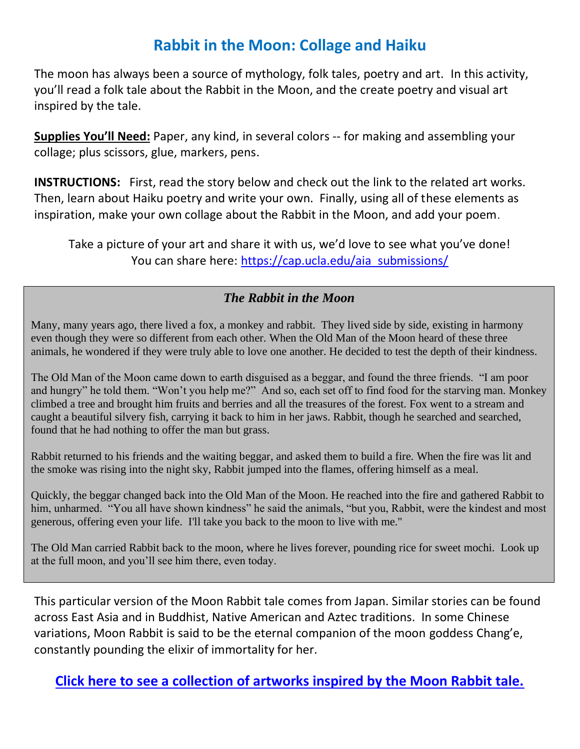### **Rabbit in the Moon: Collage and Haiku**

The moon has always been a source of mythology, folk tales, poetry and art. In this activity, you'll read a folk tale about the Rabbit in the Moon, and the create poetry and visual art inspired by the tale.

**Supplies You'll Need:** Paper, any kind, in several colors -- for making and assembling your collage; plus scissors, glue, markers, pens.

**INSTRUCTIONS:** First, read the story below and check out the link to the related art works. Then, learn about Haiku poetry and write your own. Finally, using all of these elements as inspiration, make your own collage about the Rabbit in the Moon, and add your poem.

Take a picture of your art and share it with us, we'd love to see what you've done! You can share here: [https://cap.ucla.edu/aia\\_submissions/](https://cap.ucla.edu/aia_submissions/)

#### *The Rabbit in the Moon*

Many, many years ago, there lived a fox, a monkey and rabbit. They lived side by side, existing in harmony even though they were so different from each other. When the Old Man of the Moon heard of these three animals, he wondered if they were truly able to love one another. He decided to test the depth of their kindness.

The Old Man of the Moon came down to earth disguised as a beggar, and found the three friends. "I am poor and hungry" he told them. "Won't you help me?" And so, each set off to find food for the starving man. Monkey climbed a tree and brought him fruits and berries and all the treasures of the forest. Fox went to a stream and caught a beautiful silvery fish, carrying it back to him in her jaws. Rabbit, though he searched and searched, found that he had nothing to offer the man but grass.

Rabbit returned to his friends and the waiting beggar, and asked them to build a fire. When the fire was lit and the smoke was rising into the night sky, Rabbit jumped into the flames, offering himself as a meal.

Quickly, the beggar changed back into the Old Man of the Moon. He reached into the fire and gathered Rabbit to him, unharmed. "You all have shown kindness" he said the animals, "but you, Rabbit, were the kindest and most generous, offering even your life. I'll take you back to the moon to live with me."

The Old Man carried Rabbit back to the moon, where he lives forever, pounding rice for sweet mochi. Look up at the full moon, and you'll see him there, even today.

This particular version of the Moon Rabbit tale comes from Japan. Similar stories can be found across East Asia and in Buddhist, Native American and Aztec traditions. In some Chinese variations, Moon Rabbit is said to be the eternal companion of the moon goddess Chang'e, constantly pounding the elixir of immortality for her.

**[Click here to see a collection of artworks inspired by the Moon Rabbit tale.](https://pin.it/4O18pkz)**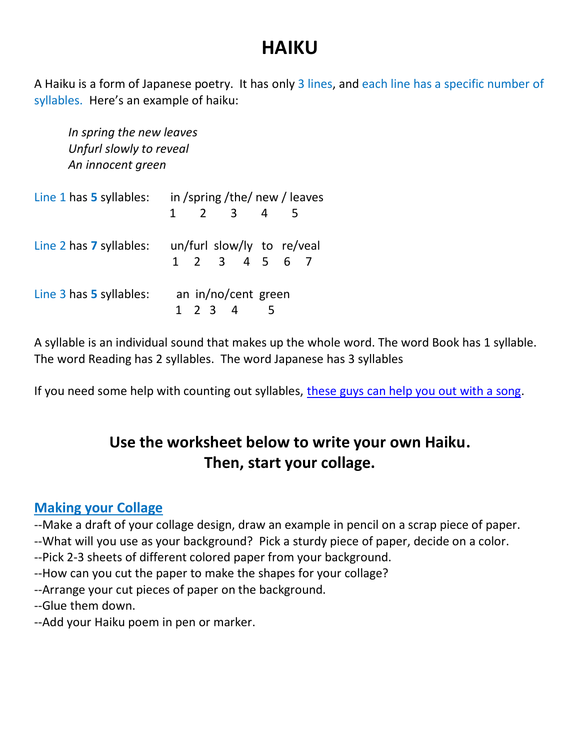## **HAIKU**

A Haiku is a form of Japanese poetry. It has only 3 lines, and each line has a specific number of syllables. Here's an example of haiku:

*In spring the new leaves Unfurl slowly to reveal An innocent green* 

| Line 1 has 5 syllables: | in/spring/the/new/leaves                      |  |  |
|-------------------------|-----------------------------------------------|--|--|
|                         | $1 \quad 2 \quad 3 \quad 4$<br>- 5            |  |  |
| Line 2 has 7 syllables: | un/furl slow/ly to re/veal<br>1 2 3 4 5 6 7   |  |  |
| Line 3 has 5 syllables: | an in/no/cent green                           |  |  |
|                         | $1 \t2 \t3 \t4$<br>$\overline{\phantom{0}}$ 5 |  |  |

A syllable is an individual sound that makes up the whole word. The word Book has 1 syllable. The word Reading has 2 syllables. The word Japanese has 3 syllables

If you need some help with counting out syllables, [these guys can help you out with a song.](https://www.youtube.com/watch?time_continue=81&v=psUPYR235O8&feature=emb_logo)

## **Use the worksheet below to write your own Haiku. Then, start your collage.**

### **Making your Collage**

--Make a draft of your collage design, draw an example in pencil on a scrap piece of paper.

--What will you use as your background? Pick a sturdy piece of paper, decide on a color.

--Pick 2-3 sheets of different colored paper from your background.

--How can you cut the paper to make the shapes for your collage?

--Arrange your cut pieces of paper on the background.

--Glue them down.

--Add your Haiku poem in pen or marker.